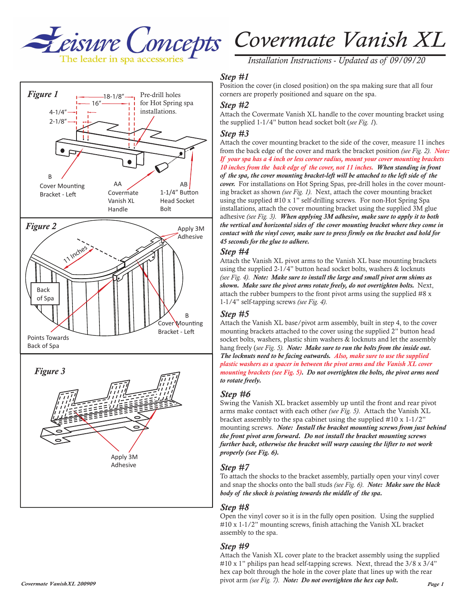



*Installation Instructions - Updated as of 09/09/20*

## *Step #1*

Position the cover (in closed position) on the spa making sure that all four corners are properly positioned and square on the spa.

## *Step #2*

Attach the Covermate Vanish XL handle to the cover mounting bracket using

## *Step #3*

Attach the cover mounting bracket to the side of the cover, measure 11 inches from the back edge of the cover and mark the bracket position *(see Fig. 2)*. *Note: If your spa has a 4 inch or less corner radius, mount your cover mounting brackets 10 inches from the back edge of the cover, not 11 inches. When standing in front of the spa, the cover mounting bracket-left will be attached to the left side of the cover.* For installations on Hot Spring Spas, pre-drill holes in the cover mounting bracket as shown *(see Fig. 1)*. Next, attach the cover mounting bracket using the supplied #10 x 1" self-drilling screws. For non-Hot Spring Spa installations, attach the cover mounting bracket using the supplied 3M glue adhesive *(see Fig. 3)*. *When applying 3M adhesive, make sure to apply it to both the vertical and horizontal sides of the cover mounting bracket where they come in contact with the vinyl cover, make sure to press firmly on the bracket and hold for 45 seconds for the glue to adhere.* 

#### *Step #4*

Attach the Vanish XL pivot arms to the Vanish XL base mounting brackets using the supplied 2-1/4" button head socket bolts, washers  $\&$  locknuts *(see Fig. 4)*. *Note: Make sure to install the large and small pivot arm shims as shown. Make sure the pivot arms rotate freely, do not overtighten bolts.* Next, attach the rubber bumpers to the front pivot arms using the supplied #8 x 1-1/4" self-tapping screws *(see Fig. 4)*.

### *Step #5*

Attach the Vanish XL base/pivot arm assembly, built in step 4, to the cover mounting brackets attached to the cover using the supplied 2" button head socket bolts, washers, plastic shim washers & locknuts and let the assembly hang freely (*see Fig. 5). Note: Make sure to run the bolts from the inside out. The locknuts need to be facing outwards. Also, make sure to use the supplied plastic washers as a spacer in between the pivot arms and the Vanish XL cover mounting brackets (see Fig. 5). Do not overtighten the bolts, the pivot arms need to rotate freely.*

## *Step #6*

Swing the Vanish XL bracket assembly up until the front and rear pivot arms make contact with each other *(see Fig. 5)*. Attach the Vanish XL bracket assembly to the spa cabinet using the supplied #10 x 1-1/2" mounting screws. *Note: Install the bracket mounting screws from just behind the front pivot arm forward. Do not install the bracket mounting screws further back, otherwise the bracket will warp causing the lifter to not work properly (see Fig. 6).*

## *Step #7*

To attach the shocks to the bracket assembly, partially open your vinyl cover and snap the shocks onto the ball studs *(see Fig. 6)*. *Note: Make sure the black body of the shock is pointing towards the middle of the spa.*

### *Step #8*

Open the vinyl cover so it is in the fully open position. Using the supplied #10 x 1-1/2" mounting screws, finish attaching the Vanish XL bracket assembly to the spa.

### *Step #9*

*Covermate VanishXL 200909 Page 1 Page 1 Page 1 Page 1 Page 1 Page 1 Page 1* Attach the Vanish XL cover plate to the bracket assembly using the supplied  $\#10 \times 1$ " philips pan head self-tapping screws. Next, thread the 3/8 x 3/4" hex cap bolt through the hole in the cover plate that lines up with the rear pivot arm *(see Fig. 7)*. *Note: Do not overtighten the hex cap bolt.*